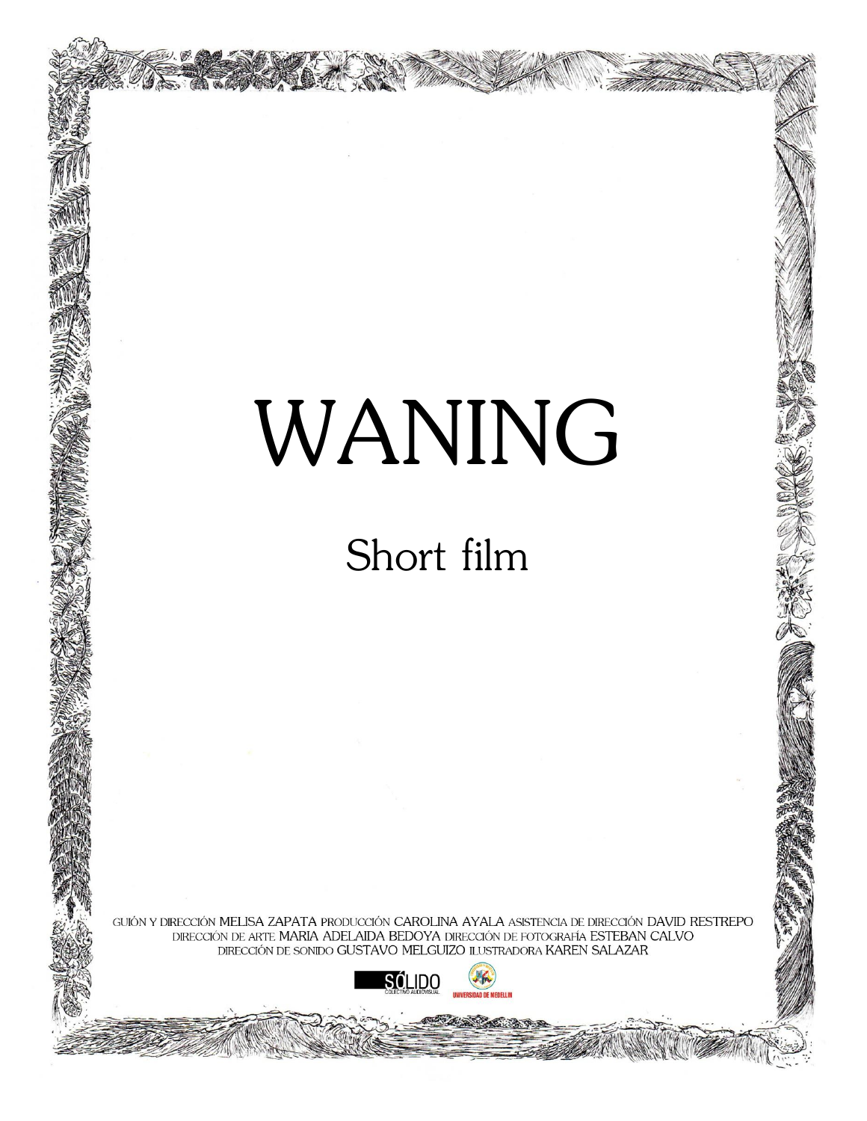# WANING

**ANDREA** 

## Short film

GUIÓN Y DIRECCIÓN MELISA ZAPATA PRODUCCIÓN CAROLINA AYALA ASISTENCIA DE DIRECCIÓN DAVID RESTREPO DIRECCIÓN DE ARTE MARIA ADELAIDA BEDOYA DIRECCIÓN DE FOTOGRAFÍA ESTEBAN CALVO DIRECCIÓN DE SONIDO GUSTAVO MELGUIZO ILUSTRADORA KAREN SALAZAR

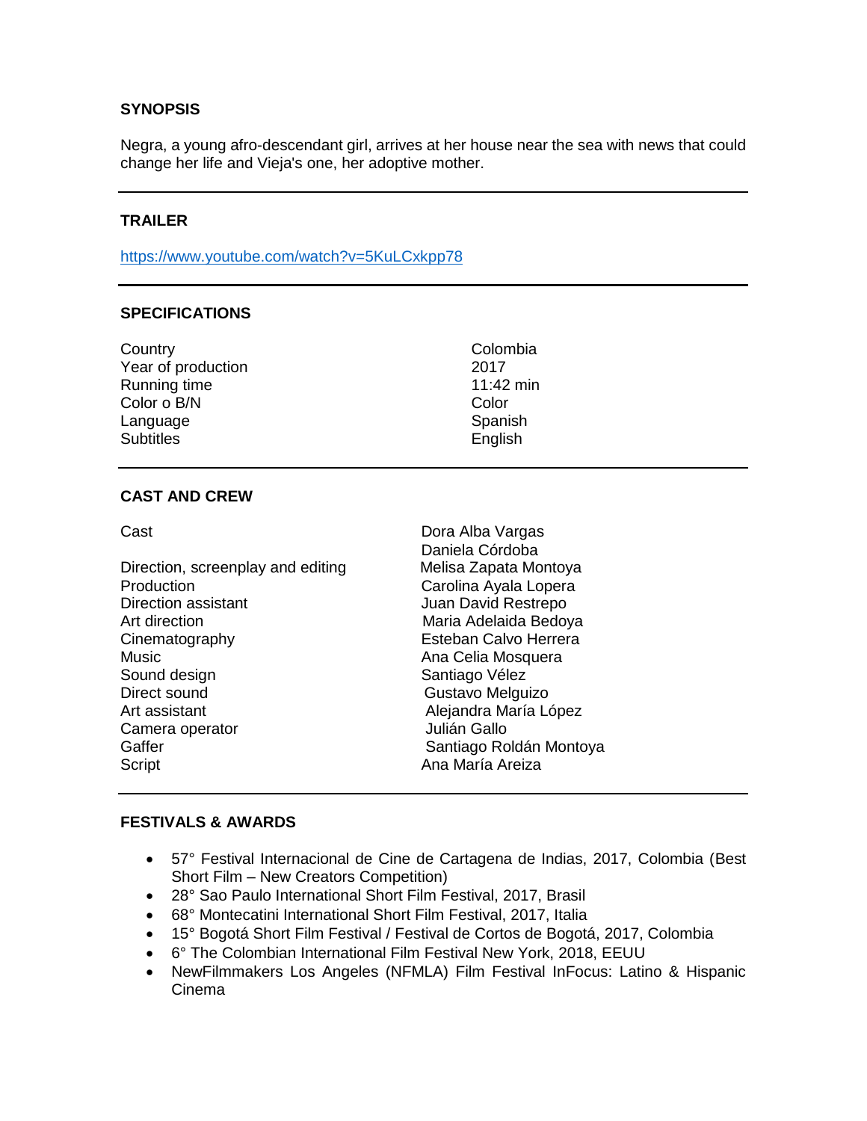### **SYNOPSIS**

Negra, a young afro-descendant girl, arrives at her house near the sea with news that could change her life and Vieja's one, her adoptive mother.

### **TRAILER**

<https://www.youtube.com/watch?v=5KuLCxkpp78>

#### **SPECIFICATIONS**

| Country            | Colombia              |
|--------------------|-----------------------|
| Year of production | 2017                  |
| Running time       | $11:42 \; \text{min}$ |
| Color o B/N        | Color                 |
| Language           | Spanish               |
| <b>Subtitles</b>   | English               |

#### **CAST AND CREW**

| . .<br>$\sim$<br>w<br>۰.<br>v<br>× |
|------------------------------------|
|------------------------------------|

| Direction, screenplay and editing<br>Production<br><b>Direction assistant</b><br>Art direction<br>Cinematography<br>Music<br>Sound design<br>Direct sound<br>Art assistant<br>Camera operator<br>Gaffer | Melisa Zapata Montoya<br>Carolina Ayala Lopera<br>Juan David Restrepo<br>Maria Adelaida Bedoya<br>Esteban Calvo Herrera<br>Ana Celia Mosquera<br>Santiago Vélez<br>Gustavo Melguizo<br>Alejandra María López<br>Julián Gallo |
|---------------------------------------------------------------------------------------------------------------------------------------------------------------------------------------------------------|------------------------------------------------------------------------------------------------------------------------------------------------------------------------------------------------------------------------------|
| Script                                                                                                                                                                                                  | Santiago Roldán Montoya<br>Ana María Areiza                                                                                                                                                                                  |
|                                                                                                                                                                                                         |                                                                                                                                                                                                                              |

#### **FESTIVALS & AWARDS**

• 57° Festival Internacional de Cine de Cartagena de Indias, 2017, Colombia (Best Short Film – New Creators Competition)

Dora Alba Vargas Daniela Córdoba

- 28° Sao Paulo International Short Film Festival, 2017, Brasil
- 68° Montecatini International Short Film Festival, 2017, Italia
- 15° Bogotá Short Film Festival / Festival de Cortos de Bogotá, 2017, Colombia
- 6° The Colombian International Film Festival New York, 2018, EEUU
- NewFilmmakers Los Angeles (NFMLA) Film Festival InFocus: Latino & Hispanic Cinema